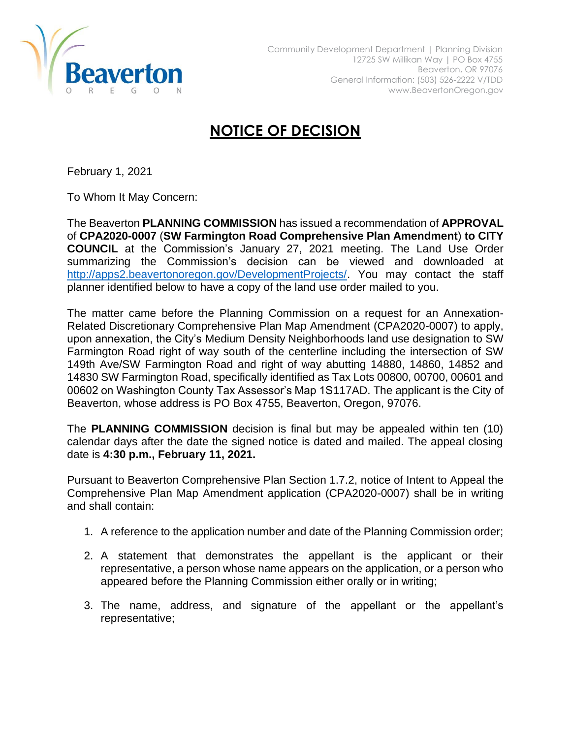

## **NOTICE OF DECISION**

February 1, 2021

To Whom It May Concern:

The Beaverton **PLANNING COMMISSION** has issued a recommendation of **APPROVAL** of **CPA2020-0007** (**SW Farmington Road Comprehensive Plan Amendment**) **to CITY COUNCIL** at the Commission's January 27, 2021 meeting. The Land Use Order summarizing the Commission's decision can be viewed and downloaded at [http://apps2.beavertonoregon.gov/DevelopmentProjects/.](http://apps2.beavertonoregon.gov/DevelopmentProjects/) You may contact the staff planner identified below to have a copy of the land use order mailed to you.

The matter came before the Planning Commission on a request for an Annexation-Related Discretionary Comprehensive Plan Map Amendment (CPA2020-0007) to apply, upon annexation, the City's Medium Density Neighborhoods land use designation to SW Farmington Road right of way south of the centerline including the intersection of SW 149th Ave/SW Farmington Road and right of way abutting 14880, 14860, 14852 and 14830 SW Farmington Road, specifically identified as Tax Lots 00800, 00700, 00601 and 00602 on Washington County Tax Assessor's Map 1S117AD. The applicant is the City of Beaverton, whose address is PO Box 4755, Beaverton, Oregon, 97076.

The **PLANNING COMMISSION** decision is final but may be appealed within ten (10) calendar days after the date the signed notice is dated and mailed. The appeal closing date is **4:30 p.m., February 11, 2021.**

Pursuant to Beaverton Comprehensive Plan Section 1.7.2, notice of Intent to Appeal the Comprehensive Plan Map Amendment application (CPA2020-0007) shall be in writing and shall contain:

- 1. A reference to the application number and date of the Planning Commission order;
- 2. A statement that demonstrates the appellant is the applicant or their representative, a person whose name appears on the application, or a person who appeared before the Planning Commission either orally or in writing;
- 3. The name, address, and signature of the appellant or the appellant's representative;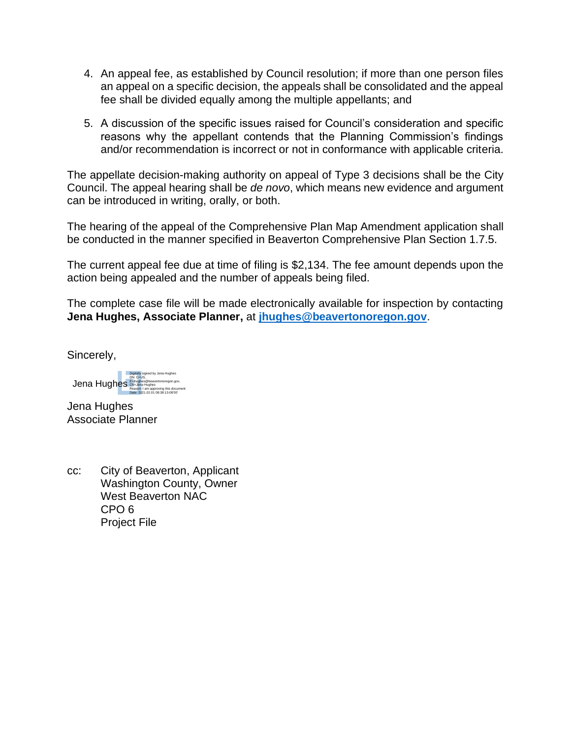- 4. An appeal fee, as established by Council resolution; if more than one person files an appeal on a specific decision, the appeals shall be consolidated and the appeal fee shall be divided equally among the multiple appellants; and
- 5. A discussion of the specific issues raised for Council's consideration and specific reasons why the appellant contends that the Planning Commission's findings and/or recommendation is incorrect or not in conformance with applicable criteria.

The appellate decision-making authority on appeal of Type 3 decisions shall be the City Council. The appeal hearing shall be *de novo*, which means new evidence and argument can be introduced in writing, orally, or both.

The hearing of the appeal of the Comprehensive Plan Map Amendment application shall be conducted in the manner specified in Beaverton Comprehensive Plan Section 1.7.5.

The current appeal fee due at time of filing is \$2,134. The fee amount depends upon the action being appealed and the number of appeals being filed.

The complete case file will be made electronically available for inspection by contacting **Jena Hughes, Associate Planner,** at **[jhughes@beavertonoregon.gov](mailto:jhughes@beavertonoregon.gov)**.

Sincerely,

Jena Hughes Digitally signed by Jena Hughes DN: C=US, E=jhughes@beavertonoregon.gov, CN=Jena Hughes Reason: I am approving this document Date: 2021.02.01 08:38:13-08'00'

Jena Hughes Associate Planner

cc: City of Beaverton, Applicant Washington County, Owner West Beaverton NAC CPO 6 Project File